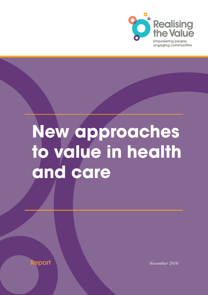

# **New approaches to value in health and care**

Report *November 2016*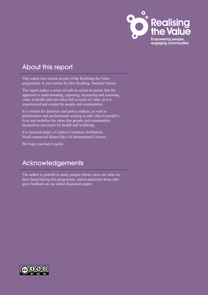

## About this report

This report was written as part of the Realising the Value programme. It was written by Don Redding, National Voices.

The report makes a series of calls to action to ensure that the approach to understanding, capturing, measuring and assessing value in health and care takes full account of value, as it is experienced and created by people and communities.

It is written for decision- and policy-makers, as well as practitioners and professionals seeking to add value to people's lives and mobilise the value that people and communities themselves can create for health and wellbeing.

It is licensed under a Creative Commons Attribution NonCommercial-ShareAlike 4.0 International License.

We hope you find it useful.

## Acknowledgements

The author is grateful to many people whose views on value we have heard during this programme, and in particular those who gave feedback on our initial discussion paper.

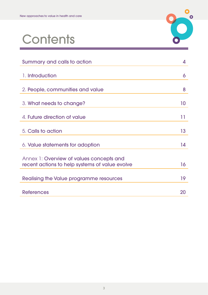

## **Contents**

| 4  |
|----|
|    |
| 6  |
| 8  |
| 10 |
|    |
| 11 |
| 13 |
| 14 |
|    |
| 16 |
|    |
| 19 |
| 20 |
|    |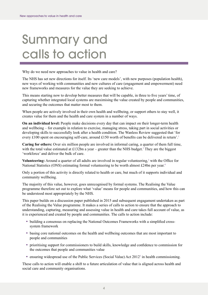## <span id="page-3-0"></span>Summary and calls to action

Why do we need new approaches to value in health and care?

The NHS has set new directions for itself. Its 'new care models', with new purposes (population health), new ways of working with communities and new cultures of care (engagement and empowerment) need new frameworks and measures for the value they are seeking to achieve.

This means starting now to develop better measures that will be capable, in three to five years' time, of capturing whether integrated local systems are maximising the value created by people and communities, and securing the outcomes that matter most to them.

When people are actively involved in their own health and wellbeing, or support others to stay well, it creates value for them and the health and care system in a number of ways.

**On an individual level:** People make decisions every day that can impact on their longer-term health and wellbeing – for example in relation to exercise, managing stress, taking part in social activities or developing skills to successfully look after a health condition. The Wanless Review suggested that 'for every £[1](#page-19-1)00 spent on encouraging self-care, around £150 worth of benefits can be delivered in return'.<sup>1</sup>

**Caring for others:** Over six million people are involved in informal caring, a quarter of them full time, with the total value estimated at £13[2](#page-19-2)bn a year – greater than the NHS budget.<sup>2</sup> They are the biggest 'workforce' and deliver the bulk of care.

**Volunteering:** Around a quarter of all adults are involved in regular volunteering,<sup>[3](#page-19-3)</sup> with the Office for National Statistics (ONS) estimating formal volunteering to be worth almost £24bn per year.<sup>4</sup>

Only a portion of this activity is directly related to health or care, but much of it supports individual and community wellbeing.

The majority of this value, however, goes unrecognised by formal systems. The Realising the Value programme therefore set out to explore what 'value' means for people and communities, and how this can be understood most appropriately by the NHS.

This paper builds on a discussion paper published in 2015 and subsequent engagament undertaken as part of the Realising the Value programme. It makes a series of calls to action to ensure that the approach to understanding, capturing, measuring and assessing value in health and care takes full account of value, as it is experienced and created by people and communities. The calls to action include:

- building a consensus on replacing the National Outcomes Frameworks with a simplified crosssystem framework
- basing core national outcomes on the health and wellbeing outcomes that are most important to people and communities
- prioritising support for commissioners to build skills, knowledge and confidence to commission for the outcomes that people and communities value
- ensuring widespread use of the Public Services (Social Value) Act 2012<sup>5</sup> in health commissioning.

These calls to action will enable a shift to a future articulation of value that is aligned across health and social care and community organisations.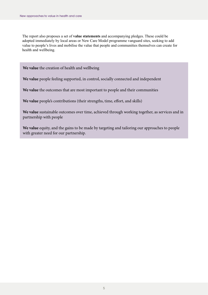The report also proposes a set of **value statements** and accompanying pledges. These could be adopted immediately by local areas or New Care Model programme vanguard sites, seeking to add value to people's lives and mobilise the value that people and communities themselves can create for health and wellbeing.

**We value** the creation of health and wellbeing

**We value** people feeling supported, in control, socially connected and independent

**We value** the outcomes that are most important to people and their communities

**We value** people's contributions (their strengths, time, effort, and skills)

**We value** sustainable outcomes over time, achieved through working together, as services and in partnership with people

**We value** equity, and the gains to be made by targeting and tailoring our approaches to people with greater need for our partnership.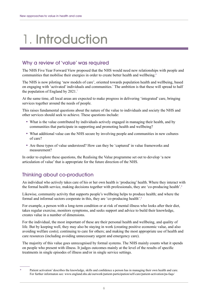## <span id="page-5-0"></span>1. Introduction

### Why a review of 'value' was required

The NHS Five Year Forward View proposed that the NHS would need new relationships with people and communities that mobilise their energies in order to create better health and wellbeing.<sup>6</sup>

The NHS is now piloting 'new models of care', oriented towards population health and wellbeing, based on engaging with 'activated' individuals and communities.\* The ambition is that these will spread to half the population of England by 2021.<sup>[7](#page-19-7)</sup>

At the same time, all local areas are expected to make progress in delivering 'integrated' care, bringing services together around the needs of people.

This raises fundamental questions about the nature of the value to individuals and society the NHS and other services should seek to achieve. These questions include:

- What is the value contributed by individuals actively engaged in managing their health, and by communities that participate in supporting and promoting health and wellbeing?
- What additional value can the NHS secure by involving people and communities in new cultures of care?
- Are these types of value understood? How can they be 'captured' in value frameworks and measurement?

In order to explore these questions, the Realising the Value programme set out to develop 'a new articulation of value' that is appropriate for the future direction of the NHS.

## Thinking about co-production

An individual who actively takes care of his or her own health is 'producing' health. Where they interact with the formal health service, making decisions together with professionals, they are 'co-producing health'.<sup>[8](#page-19-8)</sup>

Likewise, community activity that supports people's wellbeing helps to produce health; and where the formal and informal sectors cooperate in this, they are 'co-producing health'.[9](#page-19-9)

For example, a person with a long-term condition or at risk of mental illness who looks after their diet, takes regular exercise, monitors symptoms, and seeks support and advice to build their knowledge, creates value in a number of dimensions.

For the individual, the most important of these are their personal health and wellbeing, and quality of life. But by keeping well, they may also be staying in work (creating positive economic value, and also avoiding welfare costs); continuing to care for others; and making the most appropriate use of health and care resources (including avoiding unnecessary urgent and emergency care).

The majority of this value goes unrecognised by formal systems. The NHS mainly counts what it spends on people who present with illness. It judges outcomes mainly at the level of the results of specific treatments in single episodes of illness and/or in single service settings.

Patient activation' describes the knowledge, skills and confidence a person has in managing their own health and care. For further informaton see:<www.england.nhs.uk/ourwork/patient-participation/self-care/patient-activation/pa>-faqs/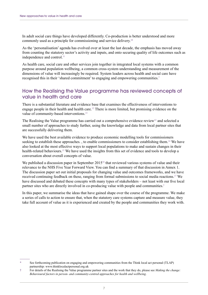In adult social care things have developed differently. Co-production is better understood and more commonly used as a principle for commissioning and service delivery[.10](#page-19-10)

As the 'personalisation' agenda has evolved over at least the last decade, the emphasis has moved away from counting the statutory sector's activity and inputs, and onto securing quality of life outcomes such as independence and control.<sup>[11](#page-19-11)</sup>

As health care, social care and other services join together in integrated local systems with a common purpose around population wellbeing, a common cross-system understanding and measurement of the dimensions of value will increasingly be required. System leaders across health and social care have recognised this in their 'shared commitment' to engaging and empowering communities.\*

### How the Realising the Value programme has reviewed concepts of value in health and care

There is a substantial literature and evidence base that examines the effectiveness of interventions to engage people in their health and health care.<sup>[12](#page-19-12)</sup> There is more limited, but promising evidence on the value of community-based interventions.<sup>13</sup>

The Realising the Value programme has carried out a comprehensive evidence review<sup>12</sup> and selected a small number of approaches to study further, using the knowledge and data from local partner sites that are successfully delivering them.

We have used the best available evidence to produce economic modelling tools for commissioners seeking to establish these approaches., to enable commissioners to consider establishing them.<sup>14</sup> We have also looked at the most effective ways to support local populations to make and sustain changes in their health-related behaviours.<sup>15</sup> We have used the insights from this set of evidence and tools to develop a conversation about overall concepts of value.

We published a discussion paper in September 2015<sup>[16](#page-19-16)</sup> that reviewed various systems of value and their relevance to the NHS Five Year Forward View. You can find a summary of that discussion in Annex 1. The discussion paper set out initial proposals for changing value and outcomes frameworks, and we have received continuing feedback on these, ranging from formal submissions to social media reactions.<sup>[17](#page-19-17)</sup> We have discussed and debated these concepts with many types of stakeholders – not least with our five local partner sites who are directly involved in co-producing value with people and communities.†

In this paper, we summarise the ideas that have gained shape over the course of the programme. We make a series of calls to action to ensure that, when the statutory care systems capture and measure value, they take full account of value as it is experienced and created by the people and communities they work with.

See forthcoming publication on engaging and empowering communities from the Think local act personal (TLAP) partnership:<www.thinklocalactpersonal.org.uk>

<sup>†</sup> For details of the Realising the Value programme partner sites and the work that they do, please see *Making the change: Behavioural factors in person- and community-centred approaches for health and wellbeing*.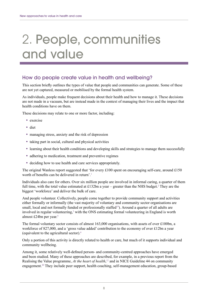## <span id="page-7-0"></span>2. People, communities and value

### How do people create value in health and wellbeing?

This section briefly outlines the types of value that people and communities can generate. Some of these are not yet captured, measured or mobilised by the formal health system.

As individuals, people make frequent decisions about their health and how to manage it. These decisions are not made in a vacuum, but are instead made in the context of managing their lives and the impact that health conditions have on them.

These decisions may relate to one or more factor, including:

- exercise
- diet
- managing stress, anxiety and the risk of depression
- taking part in social, cultural and physical activities
- learning about their health conditions and developing skills and strategies to manage them successfully
- adhering to medication, treatment and preventive regimes
- deciding how to use health and care services appropriately.

The original Wanless report suggested that 'for every £100 spent on encouraging self-care, around £150 worth of benefits can be delivered in return'.<sup>[1](#page-19-1)</sup>

Individuals also care for others. Over six million people are involved in informal caring, a quarter of them full time, with the total value estimated at £13[2](#page-19-2)bn a year  $-$  greater than the NHS budget.<sup>2</sup> They are the biggest 'workforce' and deliver the bulk of care.

And people volunteer. Collectively, people come together to provide community support and activities either formally or informally (the vast majority of voluntary and community sector organisations are small, local and not formally funded or professionally staffed<sup>19</sup>). Around a quarter of all adults are involved in regular volunteering,<sup>[3](#page-19-3)</sup> with the ONS estimating formal volunteering in England is worth almost £2[4](#page-19-4)bn per year.<sup>4</sup>

The formal voluntary sector consists of almost 163,000 organisations, with assets of over £100bn, a workforce of 827,000, and a 'gross value added' contribution to the economy of over £12bn a year (equivalent to the agricultural sector).[4](#page-19-4)

Only a portion of this activity is directly related to health or care, but much of it supports individual and community wellbeing.

Among it, some relatively well-defined person- and community-centred approaches have emerged and been studied. Many of these approaches are described, for example, in a previous report from the Realising the Value programme, *At the heart of health*, [12](#page-19-12) and in NICE Guideline 44 on community engagement.[20](#page-19-19) They include peer support, health coaching, self-management education, group-based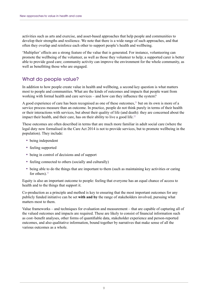activities such as arts and exercise, and asset-based approaches that help people and communities to develop their strengths and resilience. We note that there is a wide range of such approaches, and that often they overlap and reinforce each other to support people's health and wellbeing.

'Multiplier' effects are a strong feature of the value that is generated. For instance, volunteering can promote the wellbeing of the volunteer, as well as those they volunteer to help; a supported carer is better able to provide good care; community activity can improve the environment for the whole community, as well as benefitting those who are engaged.

### What do people value?

In addition to how people create value in health and wellbeing, a second key question is what matters most to people and communities. What are the kinds of outcomes and impacts that people want from working with formal health and care services – and how can they influence the system?

A good experience of care has been recognised as one of these outcomes,<sup>21</sup> but on its own is more of a service process measure than an outcome. In practice, people do not think purely in terms of their health or their interactions with services, but about their quality of life (and death): they are concerned about the impact their health, and their care, has on their ability to live a good life.<sup>22</sup>

These outcomes are often described in terms that are much more familiar in adult social care (where the legal duty now formalised in the Care Act 2014 is not to provide services, but to promote wellbeing in the population). They include:

- being independent
- feeling supported
- being in control of decisions and of support
- feeling connected to others (socially and culturally)
- being able to do the things that are important to them (such as maintaining key activities or caring for others). $11$

Equity is also an important outcome to people: feeling that everyone has an equal chance of access to health and to the things that support it.

Co-production as a principle and method is key to ensuring that the most important outcomes for any publicly funded initiative can be set **with and by** the range of stakeholders involved, pursuing what matters most to them.

Value frameworks – and techniques for evaluation and measurement – that are capable of capturing all of the valued outcomes and impacts are required. These are likely to consist of financial information such as cost–benefit analyses, other forms of quantifiable data, stakeholder experience and person-reported outcomes, and also qualitative information, bound together by narratives that make sense of all the various outcomes as a whole.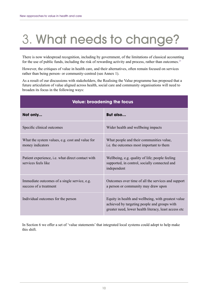## <span id="page-9-0"></span>3. What needs to change?

There is now widespread recognition, including by government, of the limitations of classical accounting for the use of public funds, including the risk of rewarding activity and process, rather than outcomes.<sup>[23](#page-19-22)</sup>

However, the critiques of value in health care, and their alternatives, often remain focused on services rather than being person- or community-centred (see Annex 1).

As a result of our discussions with stakeholders, the Realising the Value programme has proposed that a future articulation of value aligned across health, social care and community organisations will need to broaden its focus in the following ways:

| <b>Value: broadening the focus</b>                                       |                                                                                                                                                              |  |
|--------------------------------------------------------------------------|--------------------------------------------------------------------------------------------------------------------------------------------------------------|--|
| Not only                                                                 | But also                                                                                                                                                     |  |
| Specific clinical outcomes                                               | Wider health and wellbeing impacts                                                                                                                           |  |
| What the system values, e.g. cost and value for<br>money indicators      | What people and their communities value,<br>i.e. the outcomes most important to them                                                                         |  |
| Patient experience, i.e. what direct contact with<br>services feels like | Wellbeing, e.g. quality of life; people feeling<br>supported, in control, socially connected and<br>independent                                              |  |
| Immediate outcomes of a single service, e.g.<br>success of a treatment   | Outcomes over time of all the services and support<br>a person or community may draw upon                                                                    |  |
| Individual outcomes for the person                                       | Equity in health and wellbeing, with greatest value<br>achieved by targeting people and groups with<br>greater need, lower health literacy, least access etc |  |

In Section 6 we offer a set of 'value statements' that integrated local systems could adopt to help make this shift.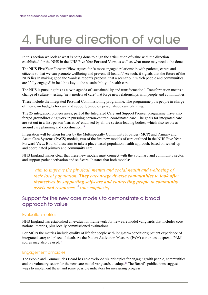## <span id="page-10-0"></span>4. Future direction of value

In this section we look at what is being done to align the articulation of value with the direction established for the NHS in the NHS Five Year Forward View, as well as what more may need to be done.

The NHS Five Year Forward View argues for 'a more engaged relationship with patients, carers and citizens so that we can promote wellbeing and prevent ill-health'.<sup>[6](#page-19-6)</sup> As such, it signals that the future of the NHS lies in making good the Wanless report's proposal that a scenario in which people and communities are 'fully engaged' in health is key to the sustainability of health care.<sup>[1](#page-19-1)</sup>

The NHS is pursuing this as a twin agenda of 'sustainability and transformation'. Transformation means a change of culture – testing 'new models of care' that forge new relationships with people and communities.

These include the Integrated Personal Commissioning programme. The programme puts people in charge of their own budgets for care and support, based on personalised care planning.

The 25 integration pioneer areas, part of the Integrated Care and Support Pioneer programme, have also forged groundbreaking work in pursuing person-centred, coordinated care. The goals for integrated care are set out in a first-person 'narrative' endorsed by all the system-leading bodies, which also revolves around care planning and coordination[.24](#page-19-23)

Integration will be taken further by the Multispecialty Community Provider (MCP) and Primary and Acute Care Systems (PACS) models, two of the five new models of care outlined in the NHS Five Year Forward View. Both of these aim to take a place-based population health approach, based on scaled-up and coordinated primary and community care.

NHS England makes clear that these new models must connect with the voluntary and community sector, and support patient activation and self-care. It states that both models:

*'aim to improve the physical, mental and social health and wellbeing of their local population. They encourage diverse communities to look after themselves by supporting self-care and connecting people to community assets and resources.'[7](#page-19-7) [our emphasis]*

### Support for the new care models to demonstrate a broad approach to value

#### Evaluation metrics

NHS England has established an evaluation framework for new care model vanguards that includes core national metrics, plus locally commissioned evaluations.

For MCPs the metrics include quality of life for people with long-term conditions; patient experience of integrated care; and place of death. As the Patient Activation Measure (PAM) continues to spread, PAM scores may also be used.<sup>25</sup>

#### Engagement principles

The People and Communities Board has co-developed six principles for engaging with people, communities and the voluntary sector for the new care model vanguards to adopt.<sup>26</sup> The Board's publications suggest ways to implement these, and some possible indicators for measuring progress.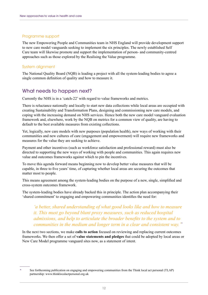#### Programme support

The new Empowering People and Communities team in NHS England will provide development support to new care model vanguards seeking to implement the six principles. The newly established Self Care team will likewise promote and support the implementation of person- and community-centred approaches such as those explored by the Realising the Value programme.

#### System alignment

The National Quality Board (NQB) is leading a project with all the system-leading bodies to agree a single common definition of quality and how to measure it.

### What needs to happen next?

Currently the NHS is in a 'catch-22' with regard to value frameworks and metrics.

There is reluctance nationally and locally to start new data collections while local areas are occupied with creating Sustainability and Transformation Plans, designing and commissioning new care models, and coping with the increasing demand on NHS services. Hence both the new care model vanguard evaluation framework and, elsewhere, work by the NQB on metrics for a common view of quality, are having to default to the best available measures from existing collections.

Yet, logically, new care models with new purposes (population health), new ways of working with their communities and new cultures of care (engagement and empowerment) will require new frameworks and measures for the value they are seeking to achieve.

Payment and other incentives (such as workforce satisfaction and professional reward) must also be directed to supporting the new ways of working with people and communities. This again requires new value and outcomes frameworks against which to pin the incentives.

To move this agenda forward means beginning now to develop better value measures that will be capable, in three to five years' time, of capturing whether local areas are securing the outcomes that matter most to people.

This means agreement among the system-leading bodies on the purpose of a new, single, simplified and cross-system outcomes framework.

The system-leading bodies have already backed this in principle. The action plan accompanying their 'shared commitment' to engaging and empowering communities identifies the need for:

*'a better, shared understanding of what good looks like and how to measure it. This must go beyond blunt proxy measures, such as reduced hospital admissions, and help to articulate the broader benefits to the system and to communities in the medium and longer term in a clear and consistent way.'\**

In the next two sections, we make **calls to action** focused on reviewing and replacing current outcomes frameworks. We then offer a set of **value statements and pledges** that could be adopted by local areas or New Care Model programme vanguard sites now, as a statement of intent.

See forthcoming publication on engaging and empowering communities from the Think local act personal (TLAP) partnership:<www.thinklocalactpersonal.org.uk>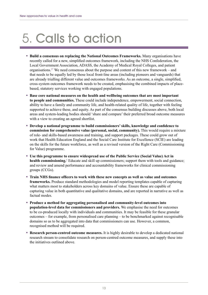## <span id="page-12-0"></span>5. Calls to action

- **Build a consensus on replacing the National Outcomes Frameworks.** Many organisations have recently called for a new, simplified outcomes framework, including the NHS Confederation, the Local Government Association, ADASS, the Academy of Medical Royal Colleges, and patient organisations.<sup>27</sup> We need consensus about the purpose and content of this new framework – and that needs to be equally led by those local front-line areas (including pioneers and vanguards) that are already trialling different value and outcomes frameworks. As an outcome, a single, simplified, cross-system outcomes framework needs to be created, emphasising the combined impacts of placebased, statutory services working with engaged populations.
- **Base core national measures on the health and wellbeing outcomes that are most important to people and communities.** These could include independence, empowerment, social connection, ability to have a family and community life, and health-related quality of life, together with feeling supported to achieve these, and equity. As part of the consensus building discusses above, both local areas and system-leading bodies should 'share and compare' their preferred broad outcome measures with a view to creating an agreed shortlist.
- **Develop a national programme to build commissioners' skills, knowledge and confidence to commission for comprehensive value (personal, social, community).** This would require a mixture of role- and skills-based awareness and training, and support packages. These could grow out of work that Health Education England and the Social Care Institute for Excellence (SCIE) are leading on the skills for the future workforce, as well as a revised version of the Right Care (Commissioning for Value) programme.
- **Use this programme to ensure widespread use of the Public Service (Social Value) Act in health commissioning.**[5](#page-19-5) Educate and skill up commissioners; support them with tools and guidance; and review and amend performance and accountability frameworks for clinical commissioning groups (CCGs).
- **Train NHS finance officers to work with these new concepts as well as value and outcomes frameworks.** Produce standard methodologies and model reporting templates capable of capturing what matters most to stakeholders across key domains of value. Ensure these are capable of capturing value in both quantitative and qualitative domains, and are reported in narrative as well as factual modes.
- **Produce a method for aggregating personalised and community-level outcomes into population-level data for commissioners and providers.** We emphasise the need for outcomes to be co-produced locally with individuals and communities. It may be feasible for these granular outcomes – for example, from personalised care planning – to be benchmarked against recognisable domains so as to be aggregated into data that commissioners can use. However, a common, recognised method will be required.
- **Research person-centred outcome measures.** It is highly desirable to develop a dedicated national research stream to consolidate research on person-centred outcome measures, and supply these into the initiatives outlined above.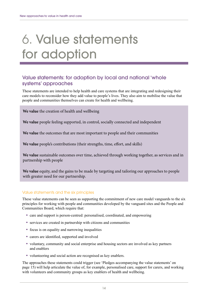## <span id="page-13-0"></span>6. Value statements for adoption

### Value statements: for adoption by local and national 'whole systems' approaches

These statements are intended to help health and care systems that are integrating and redesigning their care models to reconsider how they add value to people's lives. They also aim to mobilise the value that people and communities themselves can create for health and wellbeing.

**We value** the creation of health and wellbeing

**We value** people feeling supported, in control, socially connected and independent

**We value** the outcomes that are most important to people and their communities

**We value** people's contributions (their strengths, time, effort, and skills)

**We value** sustainable outcomes over time, achieved through working together, as services and in partnership with people

**We value** equity, and the gains to be made by targeting and tailoring our approaches to people with greater need for our partnership.

#### Value statements and the six principles

These value statements can be seen as supporting the commitment of new care model vanguards to the six principles for working with people and communities developed by the vanguard sites and the People and Communities Board, which require that:

- care and support is person-centred: personalised, coordinated, and empowering
- services are created in partnership with citizens and communities
- focus is on equality and narrowing inequalities
- carers are identified, supported and involved
- voluntary, community and social enterprise and housing sectors are involved as key partners and enablers
- volunteering and social action are recognised as key enablers.

The approaches these statements could trigger (see 'Pledges accompanying the value statements' on page 15) will help articulate the value of, for example, personalised care, support for carers, and working with volunteers and community groups as key enablers of health and wellbeing.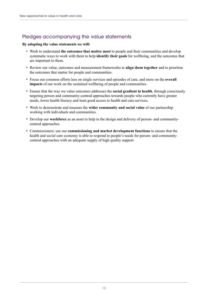## Pledges accompanying the value statements

#### **By adopting the value statements we will:**

- Work to understand **the outcomes that matter most** to people and their communities and develop systematic ways to work with them to help **identify their goals** for wellbeing, and the outcomes that are important to them.
- Review our value, outcomes and measurement frameworks to **align them together** and to prioritise the outcomes that matter for people and communities.
- Focus our common efforts less on single services and episodes of care, and more on the **overall impacts** of our work on the sustained wellbeing of people and communities.
- Ensure that the way we value outcomes addresses the **social gradient in health**, through consciously targeting person and community-centred approaches towards people who currently have greater needs, lower health literacy and least good access to health and care services.
- Work to demonstrate and measure the **wider community and social value** of our partnership working with individuals and communities.
- Develop our **workforce** as an asset to help in the design and delivery of person- and communitycentred approaches.
- Commissioners: use our **commissioning and market development functions** to ensure that the health and social care economy is able to respond to people's needs for person- and communitycentred approaches with an adequate supply of high quality support.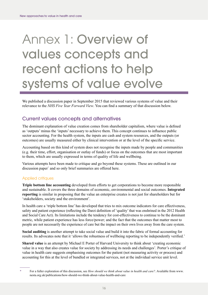## <span id="page-15-0"></span>Annex 1: Overview of values concepts and recent actions to help systems of value evolve

We published a discussion paper in September 2015 that reviewed various systems of value and their relevance to the *NHS Five Year Forward View*. You can find a summary of that discussion below.

### Current values concepts and alternatives

The dominant explanation of value creation comes from shareholder capitalism, where value is defined as 'outputs' minus the 'inputs' necessary to achieve them. This concept continues to influence public sector accounting. For the health system, the inputs are cash and system resources, and the outputs (or outcomes) are usually measured either by clinical intervention or at the level of the specific service.

Accounting based on this kind of system does not recognise the inputs made by people and communities (e.g. their time, effort, organisation or outlay of funds) or focus on the outcomes that are most important to them, which are usually expressed in terms of quality of life and wellbeing.

Various attempts have been made to critique and go beyond these systems. These are outlined in our discussion paper\* and so only brief summaries are offered here.

#### Applied critiques

**Triple bottom line accounting** developed from efforts to get corporations to become more responsible and sustainable. It covers the three domains of economic, environmental and social outcomes. **Integrated reporting** is similar in proposing that the value an enterprise creates is not just for shareholders but for 'stakeholders, society and the environment'.

In health care a 'triple bottom line' has developed that tries to mix outcome indicators for care effectiveness, safety and patient experience (reflecting the Darzi definition of 'quality' that was enshrined in the 2012 Health and Social Care Act). Its limitations include the tendency for cost-effectiveness to continue to be the dominant metric, while patient experience has less force/power; and the fact that the outcomes that matter most to people are not necessarily the experience of care but the impact on their own lives away from the care system.

**Social auditing** is another attempt to take social value and build it into the fabric of formal accounting for results. Its advocates note that it 'allows the robustness of wellbeing reporting to be independently verified.'

**Shared value** is an attempt by Michael E Porter of Harvard University to think about 'creating economic value in a way that also creates value for society by addressing its needs and challenges'. Porter's critique of value in health care suggests emphasising outcomes for the patient (not measuring activity or process) and accounting for this at the level of bundled or integrated services, not at the individual service unit level.

<sup>\*</sup> For a fuller exploration of this discussion, see *How should we think about value in health and care?*. Available from [www.](www.nesta.org.uk/publications/how) [nesta.org.uk/publications/how](www.nesta.org.uk/publications/how)-should-we-think-about-value-health-and-care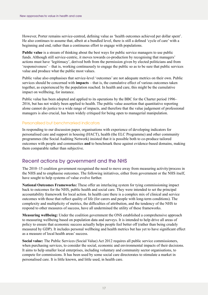However, Porter remains service-centred, defining value as 'health outcomes achieved per dollar spent'. He also continues to assume that, albeit at a bundled level, there is still a defined 'cycle of care' with a beginning and end, rather than a continuous effort to engage with populations.

**Public value** is a stream of thinking about the best ways for public service managers to use public funds. Although still service-centric, it moves towards co-production by recognising that managers' actions must have 'legitimacy', derived both from the permission given by elected politicians and from 'responsiveness' – that is, working continuously to engage the public so as to be sure that public services value and produce what the public most values.

Public value also emphasises that service-level 'outcomes' are not adequate metrics on their own. Public services should be concerned with **impacts** *–* that is, the cumulative effect of various outcomes taken together, as experienced by the population reached. In health and care, this might be the cumulative impact on wellbeing, for instance.

Public value has been adopted and applied to its operations by the BBC for the Charter period 1996– 2016, but has not widely been applied to health. The public value assertion that quantitative reporting alone cannot do justice to a wide range of impacts, and therefore that the value judgement of professional managers is also crucial, has been widely critiqued for being open to managerial manipulation.

#### Personalised but benchmarked indicators

In responding to our discussion paper, organisations with experience of developing indicators for personalised care and support in housing (HACT), health (the ELC Programme) and other community programmes (the Social Auditing Network) insisted that it is possible both to co-produce tailored outcomes with people and communities **and** to benchmark these against evidence-based domains, making them comparable rather than subjective.

### Recent actions by government and the NHS

The 2010–15 coalition government recognised the need to move away from measuring activity/process in the NHS and to emphasise outcomes. The following initiatives, either from government or the NHS itself, have sought to help systems of value evolve further.

**National Outcomes Frameworks:** These offer an interlacing system for tying commissioning impact back to outcomes for the NHS, public health and social care. They were intended to set the principal accountability framework for local action. In health care there is a complex mix of clinical and service outcomes with those that reflect quality of life (for carers and people with long-term conditions). The complexity and multiplicity of metrics, the difficulties of attribution, and the tendency of the NHS to respond to other measures of success, have all undermined the utility of these frameworks.

**Measuring wellbeing:** Under the coalition government the ONS established a comprehensive approach to measuring wellbeing based on population data and surveys. It is intended to help drive all areas of policy to ensure that economic success actually helps people feel better off (rather than being crudely measured by GDP). It includes personal wellbeing and health metrics but has yet to have significant effect as a measure of local health areas' success.

**Social value:** The Public Services (Social Value) Act 2012 requires all public service commissioners, when purchasing services, to consider the social, economic and environmental impacts of their decisions. It aims to help smaller local enterprises, including voluntary and community sector organisations, to compete for commissions. It has been used by some social care directorates to stimulate a market in personalised care. It is little known, and little used, in health care.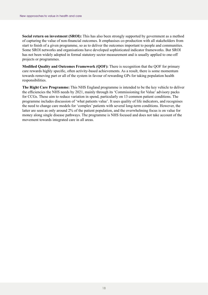**Social return on investment (SROI):** This has also been strongly supported by government as a method of capturing the value of non-financial outcomes. It emphasises co-production with all stakeholders from start to finish of a given programme, so as to deliver the outcomes important to people and communities. Some SROI networks and organisations have developed sophisticated indicator frameworks. But SROI has not been widely adopted in formal statutory sector measurement and is usually applied to one-off projects or programmes.

**Modified Quality and Outcomes Framework (QOF):** There is recognition that the QOF for primary care rewards highly specific, often activity-based achievements. As a result, there is some momentum towards removing part or all of the system in favour of rewarding GPs for taking population health responsibilities.

**The Right Care Programme:** This NHS England programme is intended to be the key vehicle to deliver the efficiencies the NHS needs by 2021, mainly through its 'Commissioning for Value' advisory packs for CCGs. These aim to reduce variation in spend, particularly on 13 common patient conditions. The programme includes discussion of 'what patients value'. It uses quality of life indicators, and recognises the need to change care models for 'complex' patients with several long-term conditions. However, the latter are seen as only around 2% of the patient population, and the overwhelming focus is on value for money along single disease pathways. The programme is NHS focused and does not take account of the movement towards integrated care in all areas.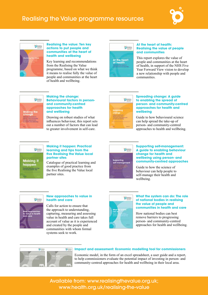

## <span id="page-18-0"></span>Realising the Value programme resources



#### **Realising the value: Ten key actions to put people and communities at the heart of health and wellbeing**

Key learning and recommendations from the Realising the Value programme, based on what we think it means to realise fully the value of people and communities at the heart of health and wellbeing.



#### **At the heart of health: Realising the value of people and communities**

This report explores the value of people and communities at the heart of health, in support of the NHS Five Year Forward View vision to develop a new relationship with people and communities.



#### **Making the change: Behavioural factors in personand community-centred approaches for health and wellbeing**

Drawing on robust studies of what influences behaviour, this report sets out a number of factors that can lead to greater involvement in self-care.



#### **Spreading change: A guide to enabling the spread of person- and community-centred approaches for health and wellbeing**

Guide to how behavioural science can help spread the take-up of person- and community-centred approaches to health and wellbeing.



#### **Making it happen: Practical learning and tips from the five Realising the Value local partner sites**

Catalogue of practical learning and examples of good practice from the five Realising the Value local partner sites.



#### **Supporting self-management: A guide to enabling behaviour change for health and wellbeing using person- and community-centred approaches**

Guide to how the science of behaviour can help people to self-manage their health and wellbeing.



#### **New approaches to value in health and care**

Calls for action to ensure that the approach to understanding, capturing, measuring and assessing value in health and care takes full account of value as it is experienced and created by the people and communities with whom formal systems seek to work.



#### **What the system can do: The role of national bodies in realising the value of people and communities in health and care**

How national bodies can best remove barriers to progressing person- and community-centred approaches for health and wellbeing.



#### **Impact and assessment: Economic modelling tool for commissioners**

Economic model, in the form of an excel spreadsheet, a user guide and a report, to help commissioners evaluate the potential impact of investing in person- and community-centred approaches for health and wellbeing in their local area.

Available from: [www.realisingthevalue.org.uk;](www.realisingthevalue.org.uk) [www.health.org.uk/realising-](www.health.org.uk/realising)the-value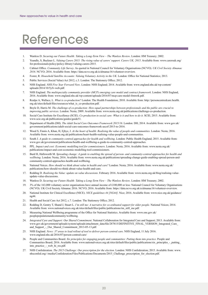## <span id="page-19-0"></span>References

- <span id="page-19-1"></span>1. Wanless D. *Securing our Future Health: Taking a Long-Term View – The Wanless Review*. London: HM Treasury; 2002.
- <span id="page-19-2"></span>2. Yeandle, S, Buckner L. *Valuing Carers 2015: The rising value of carers' support. Carers UK; 2015*. Available from: [www.carersuk.org/](www.carersuk.org/for-professionals/policy/policy-library/valuing) [for-professionals/policy/policy-library/valuing-](www.carersuk.org/for-professionals/policy/policy-library/valuing)carers-2015.
- <span id="page-19-3"></span>3. Cabinet Office. *Community Life Survey*. As quoted in National Council for Voluntary Organisations (NCVO). *UK Civil Society Almanac 2016*. NCVO; 2016. Available from: <https://data.ncvo.org.uk/a/almanac16/volunteer>-overview.
- <span id="page-19-4"></span>4. Foster, R. *Household Satellite Accounts: Valuing Voluntary Activity in the UK*. London: Office for National Statistics; 2013.
- <span id="page-19-5"></span>5. Public Services (Social Value) Act 2012, c.3. London: The Stationery Office; 2012.
- <span id="page-19-6"></span>6. NHS England. *NHS Five Year Forward View*. London: NHS England; 2014. Available from: [www.england.nhs.uk/wp-content/](http://www.england.nhs.uk/wp-content/uploads/2014/10/5yfv-web.pdf) [uploads/2014/10/5yfv-web.pdf.](http://www.england.nhs.uk/wp-content/uploads/2014/10/5yfv-web.pdf)
- <span id="page-19-7"></span>7. NHS England. *The multispecialty community provider (MCP) emerging care model and contract framework*. London: NHS England, 2016. Available from: [www.england.nhs.uk/wp-content/uploads/2016/07/mcp-care-model-frmwrk.pdf.](www.england.nhs.uk/wp-content/uploads/2016/07/mcp-care-model-frmwrk.pdf)
- <span id="page-19-8"></span>8. Realpe A, Wallace, L. *What is co-production?* London: The Health Foundation; 2010. Available from: [http://personcentredcare.health.](http://personcentredcare.health.org.uk/sites/default/files/resources/what_is_co-production.pdf) [org.uk/sites/default/files/resources/what\\_is\\_co-production.pdf](http://personcentredcare.health.org.uk/sites/default/files/resources/what_is_co-production.pdf).
- <span id="page-19-9"></span>9. Boyle D, Harris M. *The challenge of co-production: How equal partnerships between professionals and the public are crucial to improving public services*. London: Nesta; 2009. Available from: [www.nesta.org.uk/publications/challenge-](www.nesta.org.uk/publications/challenge)co-production.
- <span id="page-19-10"></span>10. Social Care Institute for Excellence (SCIE). *Co-production in social care: What is it and how to do it*. SCIE; 2015. Available from: <www.scie.org.uk/publications/guides/guide>51.
- <span id="page-19-11"></span>11. Department of Health (DH). *The Adult Social Care Outcomes Framework 2015/16*. London: DH; 2014. Available from: [www.gov.uk/](www.gov.uk/government/publications/adult) [government/publications/adult-](www.gov.uk/government/publications/adult)social-care-outcomes-framework-ascof-2015-to-2016.
- <span id="page-19-12"></span>12. Wood S, Finnis A, Khan, H, Ejbye, J. *At the heart of health: Realising the value of people and communities*. London: Nesta; 2016. Available from: [www.nesta.org.uk/publications/heart-health-realising-value-people-and-communities](http://www.nesta.org.uk/publications/heart-health-realising-value-people-and-communities).
- <span id="page-19-13"></span>13. South J. *A guide to community-centred approaches for health and wellbeing*. London: Public Health England; 2015. Available from: [www.gov.uk/government/publications/health-](www.gov.uk/government/publications/health)and-wellbeing-a-guide-to-community-centred-approaches.
- <span id="page-19-14"></span>14. PPL. *Impact and cost: Economic modelling tool for commissioners*. London: Nesta; 2016. Available from: [www.nesta.org.uk/](http://www.nesta.org.uk/publications/impact-and-cost-economic-modelling-tool-commissioners) [publications/impact-and-cost-economic-modelling-tool-commissioners.](http://www.nesta.org.uk/publications/impact-and-cost-economic-modelling-tool-commissioners)
- <span id="page-19-15"></span>15. Burd H, Hallsworth M. *Spreading change: A guide to enabling the spread of person- and community-centred approaches for health and wellbeing*. London: Nesta; 2016. Available from: [www.nesta.org.uk/publications/spreading-change-guide-enabling-spread-person-and](http://www.nesta.org.uk/publications/spreading-change-guide-enabling-spread-person-and-community-centred-approaches-health-and-wellbeing)[community-centred-approaches-health-and-wellbeing.](http://www.nesta.org.uk/publications/spreading-change-guide-enabling-spread-person-and-community-centred-approaches-health-and-wellbeing)
- <span id="page-19-16"></span>16. National Voices. *How should we think about value in health and care?* London: Nesta; 2016. Available from: [www.nesta.org.uk/](http://www.nesta.org.uk/publications/how-should-we-think-about-value-health-and-care) [publications/how-should-we-think-about-value-health-and-care](http://www.nesta.org.uk/publications/how-should-we-think-about-value-health-and-care).
- <span id="page-19-17"></span>17. Redding D. *Realising the Value: update on value discussions*. February 2016. Available from: [www.nesta.org.uk/blog/realising-](www.nesta.org.uk/blog/realising)valueupdate-value-discussions.
- 18. Wanless D. *Securing our Future Health: Taking a Long-Term View The Wanless Review*. London: HM Treasury; 2002.
- <span id="page-19-18"></span>19. 3% of the 163,000 voluntary sector organisations have annual income of £100,000 or less: National Council for Voluntary Organisations (NCVO). UK Civil Society Almanac 2016. NCVO; 2016. Available from: <https://data.ncvo.org.uk/a/almanac16/volunteer>-overview.
- <span id="page-19-19"></span>20. National Institute for Clinical Excellence (NICE). *NICE guidelines 44 [NG44]*. Nice; 2016. Available from: [www.nice.org.uk/guidance/](www.nice.org.uk/guidance/ng) [ng](www.nice.org.uk/guidance/ng)44.
- <span id="page-19-20"></span>21. Health and Social Care Act 2012, c.7. London: The Stationery Office; 2012.
- <span id="page-19-21"></span>22. Redding D, Gentry T, Shand J, Stuart L. *I'm still me: A narrative for co-ordinated support for older people*. National Voices; 2014. Available from: [www.nationalvoices.org.uk/sites/default/files/public/publications/im\\_still\\_me.pdf](www.nationalvoices.org.uk/sites/default/files/public/publications/im_still_me.pdf).
- <span id="page-19-22"></span>23. Measuring National Wellbeing programme of the Office for National Statistics. Available from: [www.ons.gov.uk/](www.ons.gov.uk/peoplepopulationandcommunity/wellbeing) [peoplepopulationandcommunity/wellbeing](www.ons.gov.uk/peoplepopulationandcommunity/wellbeing).
- <span id="page-19-23"></span>24. *Integrated Care and Support: Our Shared Commitment*. National Collaboration for Integrated Care and Support; 2013. Available from: [www.gov.uk/government/uploads/system/uploads/attachment\\_data/file/287815/DEFINITIVE\\_FINAL\\_VERSION\\_Integrated\\_Care\\_](www.gov.uk/government/uploads/system/uploads/attachment_data/file/287815/DEFINITIVE_FINAL_VERSION_Integrated_Care_and_Support_-_Our_Shared_Commitment_2013-05-13.pdf) and Support - Our Shared Commitment 2013-05-13.pdf.
- <span id="page-19-24"></span>25. NHS England. *News: 37 areas to lead rollout of tool to deliver person-centred care*. NHS England, 11 July 2016. <www.england.nhs.uk/2016/07/person>-centred-care/
- <span id="page-19-25"></span>26. People and Communities Board. *Six principles for engaging people and communities: Putting them into practice*. People and Communities Board; 2016. Available from: [www.nationalvoices.org.uk/sites/default/files/public/publications/six\\_principles\\_-\\_putting\\_](www.nationalvoices.org.uk/sites/default/files/public/publications/six_principles_-_putting_into_practice_-_web_hi_res.pdf) [into\\_practice\\_-\\_web\\_hi\\_res.pdf](www.nationalvoices.org.uk/sites/default/files/public/publications/six_principles_-_putting_into_practice_-_web_hi_res.pdf).
- <span id="page-19-26"></span>27. NHS Confederation. *The 2015 Challenge: Our prescription for the election*. London: NHS Confederation; 2015. Available from: [www.](www.nhsconfed.org/-/media/Confederation/Files/Publications/Documents/2015_Challenge_prescription_for_election.pdf) [nhsconfed.org/-/media/Confederation/Files/Publications/Documents/2015\\_Challenge\\_prescription\\_for\\_election.pdf](www.nhsconfed.org/-/media/Confederation/Files/Publications/Documents/2015_Challenge_prescription_for_election.pdf).